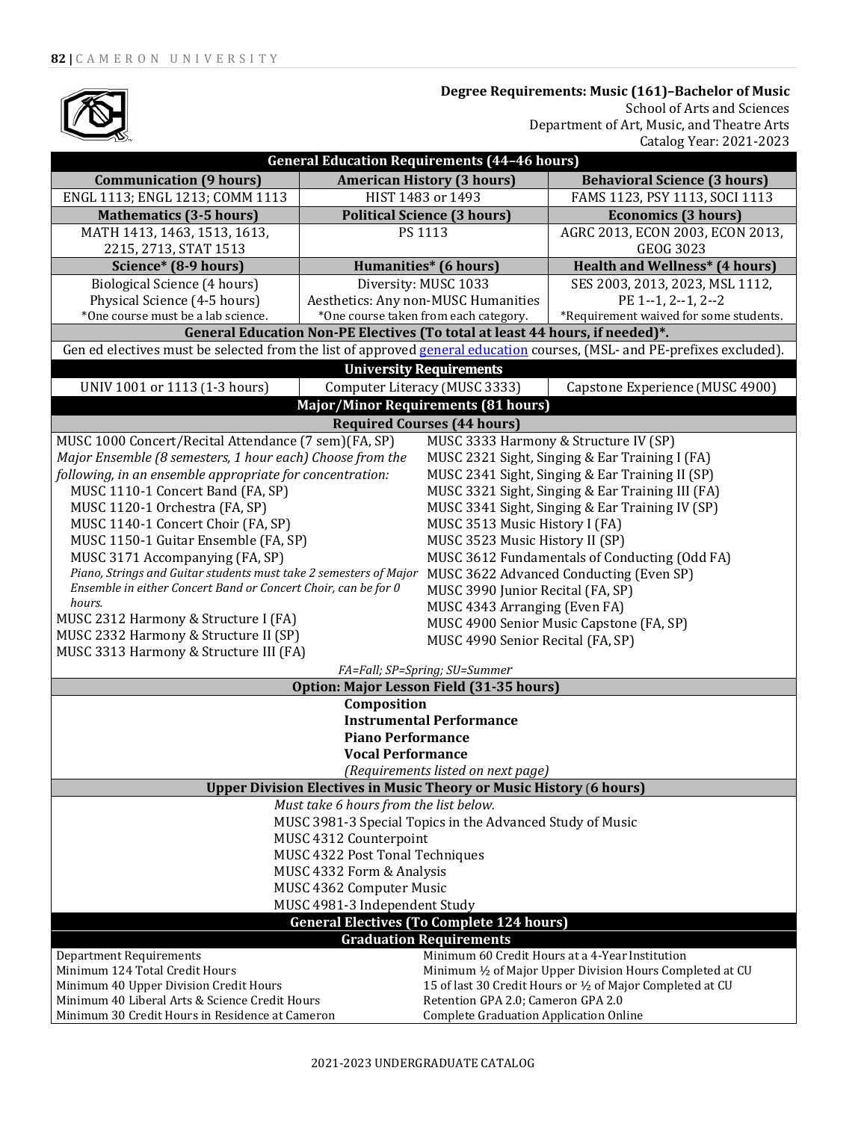

 **Degree Requirements: Music (161)–Bachelor of Music** School of Arts and Sciences Department of Art, Music, and Theatre Arts Catalog Year: 2021-2023

| <b>General Education Requirements (44-46 hours)</b>                                                                     |                                       |                                                                                          |                                                           |  |  |
|-------------------------------------------------------------------------------------------------------------------------|---------------------------------------|------------------------------------------------------------------------------------------|-----------------------------------------------------------|--|--|
| <b>Communication (9 hours)</b>                                                                                          | <b>American History (3 hours)</b>     |                                                                                          | <b>Behavioral Science (3 hours)</b>                       |  |  |
| ENGL 1113; ENGL 1213; COMM 1113                                                                                         | HIST 1483 or 1493                     |                                                                                          | FAMS 1123, PSY 1113, SOCI 1113                            |  |  |
| <b>Mathematics (3-5 hours)</b>                                                                                          | <b>Political Science (3 hours)</b>    |                                                                                          | <b>Economics (3 hours)</b>                                |  |  |
| MATH 1413, 1463, 1513, 1613,                                                                                            | PS 1113                               |                                                                                          | AGRC 2013, ECON 2003, ECON 2013,                          |  |  |
| 2215, 2713, STAT 1513                                                                                                   |                                       |                                                                                          | <b>GEOG 3023</b>                                          |  |  |
| Science* (8-9 hours)                                                                                                    | <b>Humanities*</b> (6 hours)          |                                                                                          | <b>Health and Wellness* (4 hours)</b>                     |  |  |
| Biological Science (4 hours)                                                                                            | Diversity: MUSC 1033                  |                                                                                          | SES 2003, 2013, 2023, MSL 1112,                           |  |  |
| Physical Science (4-5 hours)                                                                                            | Aesthetics: Any non-MUSC Humanities   |                                                                                          | PE 1--1, 2--1, 2--2                                       |  |  |
| *One course must be a lab science.                                                                                      | *One course taken from each category. |                                                                                          | *Requirement waived for some students.                    |  |  |
| General Education Non-PE Electives (To total at least 44 hours, if needed)*.                                            |                                       |                                                                                          |                                                           |  |  |
| Gen ed electives must be selected from the list of approved general education courses, (MSL- and PE-prefixes excluded). |                                       |                                                                                          |                                                           |  |  |
|                                                                                                                         | <b>University Requirements</b>        |                                                                                          |                                                           |  |  |
| UNIV 1001 or 1113 (1-3 hours)                                                                                           | Computer Literacy (MUSC 3333)         |                                                                                          | Capstone Experience (MUSC 4900)                           |  |  |
| <b>Major/Minor Requirements (81 hours)</b>                                                                              |                                       |                                                                                          |                                                           |  |  |
| <b>Required Courses (44 hours)</b>                                                                                      |                                       |                                                                                          |                                                           |  |  |
| MUSC 1000 Concert/Recital Attendance (7 sem)(FA, SP)                                                                    |                                       |                                                                                          | MUSC 3333 Harmony & Structure IV (SP)                     |  |  |
| Major Ensemble (8 semesters, 1 hour each) Choose from the                                                               |                                       |                                                                                          | MUSC 2321 Sight, Singing & Ear Training I (FA)            |  |  |
| following, in an ensemble appropriate for concentration:                                                                |                                       |                                                                                          | MUSC 2341 Sight, Singing & Ear Training II (SP)           |  |  |
| MUSC 1110-1 Concert Band (FA, SP)                                                                                       |                                       |                                                                                          | MUSC 3321 Sight, Singing & Ear Training III (FA)          |  |  |
| MUSC 1120-1 Orchestra (FA, SP)                                                                                          |                                       |                                                                                          | MUSC 3341 Sight, Singing & Ear Training IV (SP)           |  |  |
| MUSC 1140-1 Concert Choir (FA, SP)                                                                                      |                                       |                                                                                          | MUSC 3513 Music History I (FA)                            |  |  |
| MUSC 1150-1 Guitar Ensemble (FA, SP)                                                                                    |                                       |                                                                                          |                                                           |  |  |
|                                                                                                                         |                                       | MUSC 3523 Music History II (SP)                                                          |                                                           |  |  |
| MUSC 3171 Accompanying (FA, SP)<br>Piano, Strings and Guitar students must take 2 semesters of Major                    |                                       | MUSC 3612 Fundamentals of Conducting (Odd FA)<br>MUSC 3622 Advanced Conducting (Even SP) |                                                           |  |  |
| Ensemble in either Concert Band or Concert Choir, can be for 0                                                          |                                       |                                                                                          |                                                           |  |  |
| hours.                                                                                                                  |                                       | MUSC 3990 Junior Recital (FA, SP)                                                        |                                                           |  |  |
| MUSC 2312 Harmony & Structure I (FA)                                                                                    |                                       | MUSC 4343 Arranging (Even FA)                                                            |                                                           |  |  |
| MUSC 2332 Harmony & Structure II (SP)                                                                                   |                                       | MUSC 4900 Senior Music Capstone (FA, SP)<br>MUSC 4990 Senior Recital (FA, SP)            |                                                           |  |  |
| MUSC 3313 Harmony & Structure III (FA)                                                                                  |                                       |                                                                                          |                                                           |  |  |
| FA=Fall; SP=Spring; SU=Summer                                                                                           |                                       |                                                                                          |                                                           |  |  |
| Option: Major Lesson Field (31-35 hours)                                                                                |                                       |                                                                                          |                                                           |  |  |
| Composition                                                                                                             |                                       |                                                                                          |                                                           |  |  |
| <b>Instrumental Performance</b>                                                                                         |                                       |                                                                                          |                                                           |  |  |
| <b>Piano Performance</b>                                                                                                |                                       |                                                                                          |                                                           |  |  |
| <b>Vocal Performance</b>                                                                                                |                                       |                                                                                          |                                                           |  |  |
| (Requirements listed on next page)                                                                                      |                                       |                                                                                          |                                                           |  |  |
| <b>Upper Division Electives in Music Theory or Music History (6 hours)</b>                                              |                                       |                                                                                          |                                                           |  |  |
| Must take 6 hours from the list below.                                                                                  |                                       |                                                                                          |                                                           |  |  |
| MUSC 3981-3 Special Topics in the Advanced Study of Music                                                               |                                       |                                                                                          |                                                           |  |  |
|                                                                                                                         |                                       |                                                                                          |                                                           |  |  |
| MUSC 4312 Counterpoint                                                                                                  |                                       |                                                                                          |                                                           |  |  |
| MUSC 4322 Post Tonal Techniques                                                                                         |                                       |                                                                                          |                                                           |  |  |
| MUSC 4332 Form & Analysis                                                                                               |                                       |                                                                                          |                                                           |  |  |
| MUSC 4362 Computer Music                                                                                                |                                       |                                                                                          |                                                           |  |  |
| MUSC 4981-3 Independent Study                                                                                           |                                       |                                                                                          |                                                           |  |  |
| <b>General Electives (To Complete 124 hours)</b>                                                                        |                                       |                                                                                          |                                                           |  |  |
|                                                                                                                         | <b>Graduation Requirements</b>        |                                                                                          |                                                           |  |  |
| Department Requirements                                                                                                 |                                       |                                                                                          | Minimum 60 Credit Hours at a 4-Year Institution           |  |  |
| Minimum 124 Total Credit Hours                                                                                          |                                       |                                                                                          | Minimum 1/2 of Major Upper Division Hours Completed at CU |  |  |
| Minimum 40 Upper Division Credit Hours                                                                                  |                                       | 15 of last 30 Credit Hours or 1/2 of Major Completed at CU                               |                                                           |  |  |
| Minimum 40 Liberal Arts & Science Credit Hours<br>Minimum 30 Credit Hours in Residence at Cameron                       |                                       | Retention GPA 2.0; Cameron GPA 2.0<br>Complete Graduation Application Online             |                                                           |  |  |
|                                                                                                                         |                                       |                                                                                          |                                                           |  |  |